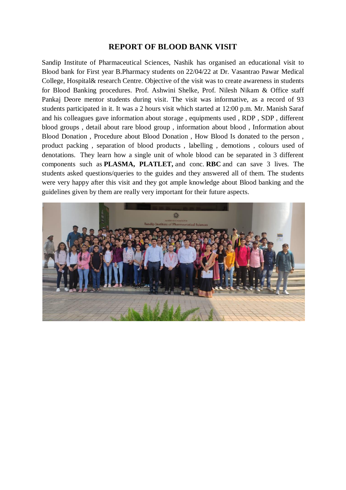## **REPORT OF BLOOD BANK VISIT**

Sandip Institute of Pharmaceutical Sciences, Nashik has organised an educational visit to Blood bank for First year B.Pharmacy students on 22/04/22 at Dr. Vasantrao Pawar Medical College, Hospital& research Centre. Objective of the visit was to create awareness in students for Blood Banking procedures. Prof. Ashwini Shelke, Prof. Nilesh Nikam & Office staff Pankaj Deore mentor students during visit. The visit was informative, as a record of 93 students participated in it. It was a 2 hours visit which started at 12:00 p.m. Mr. Manish Saraf and his colleagues gave information about storage , equipments used , RDP , SDP , different blood groups , detail about rare blood group , information about blood , Information about Blood Donation , Procedure about Blood Donation , How Blood Is donated to the person , product packing , separation of blood products , labelling , demotions , colours used of denotations. They learn how a single unit of whole blood can be separated in 3 different components such as **PLASMA, PLATLET,** and conc. **RBC** and can save 3 lives. The students asked questions/queries to the guides and they answered all of them. The students were very happy after this visit and they got ample knowledge about Blood banking and the guidelines given by them are really very important for their future aspects.

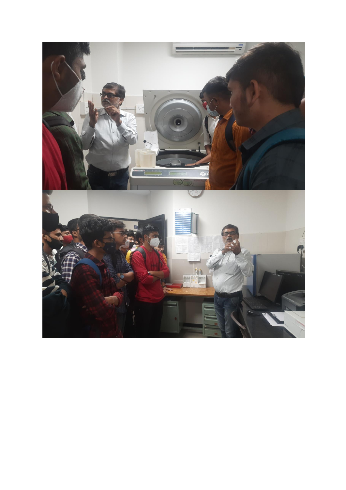